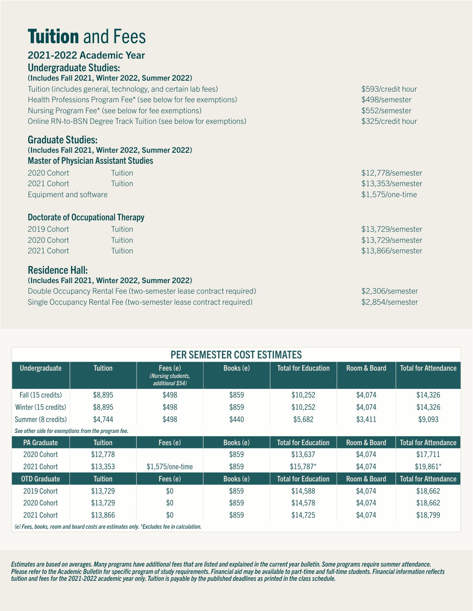# **Tuition and Fees**

# 2021-2022 Academic Year

# Undergraduate Studies:

(Includes Fall 2021, Winter 2022, Summer 2022)

Tuition (includes general, technology, and certain lab fees) \$593/credit hour Health Professions Program Fee\* (see below for fee exemptions)  $$498/semester$ Nursing Program Fee\* (see below for fee exemptions) **\$552/semester** \$552/semester Online RN-to-BSN Degree Track Tuition (see below for exemptions) \$325/credit hour

### Graduate Studies:

#### (Includes Fall 2021, Winter 2022, Summer 2022) Master of Physician Assistant Studies

2020 Cohort Tuition \$12,778/semester 2021 Cohort Tuition \$13,353/semester Equipment and software  $$1,575/$ one-time

#### Doctorate of Occupational Therapy

| 2019 Cohort | Tuition | \$13,729/semester |
|-------------|---------|-------------------|
| 2020 Cohort | Tuition | \$13,729/semester |
| 2021 Cohort | Tuition | \$13,866/semester |

# Residence Hall:

#### (Includes Fall 2021, Winter 2022, Summer 2022)

Double Occupancy Rental Fee (two-semester lease contract required) \$2,306/semester Single Occupancy Rental Fee (two-semester lease contract required) \$2,854/semester

| <b>PER SEMESTER COST ESTIMATES</b>                                                   |                |                                                    |           |                            |              |                             |  |  |  |
|--------------------------------------------------------------------------------------|----------------|----------------------------------------------------|-----------|----------------------------|--------------|-----------------------------|--|--|--|
| Undergraduate                                                                        | <b>Tuition</b> | Fees (e)<br>(Nursing students,<br>additional \$54) | Books (e) | <b>Total for Education</b> | Room & Board | <b>Total for Attendance</b> |  |  |  |
| Fall (15 credits)                                                                    | \$8,895        | \$498                                              | \$859     | \$10,252                   | \$4,074      | \$14,326                    |  |  |  |
| Winter (15 credits)                                                                  | \$8,895        | \$498                                              | \$859     | \$10,252                   | \$4,074      | \$14,326                    |  |  |  |
| Summer (8 credits)                                                                   | \$4,744        | \$498                                              | \$440     | \$5,682                    | \$3,411      | \$9,093                     |  |  |  |
| See other side for exemptions from the program fee.                                  |                |                                                    |           |                            |              |                             |  |  |  |
| <b>PA Graduate</b>                                                                   | <b>Tuition</b> | Fees (e)                                           | Books (e) | <b>Total for Education</b> | Room & Board | <b>Total for Attendance</b> |  |  |  |
| 2020 Cohort                                                                          | \$12,778       |                                                    | \$859     | \$13,637                   | \$4,074      | \$17,711                    |  |  |  |
| 2021 Cohort                                                                          | \$13,353       | $$1,575$ /one-time                                 | \$859     | $$15,787$ *                | \$4,074      | $$19,861*$                  |  |  |  |
| <b>OTD Graduate</b>                                                                  | <b>Tuition</b> | Fees (e)                                           | Books (e) | <b>Total for Education</b> | Room & Board | <b>Total for Attendance</b> |  |  |  |
| 2019 Cohort                                                                          | \$13,729       | \$0                                                | \$859     | \$14,588                   | \$4,074      | \$18,662                    |  |  |  |
| 2020 Cohort                                                                          | \$13,729       | \$0                                                | \$859     | \$14,578                   | \$4,074      | \$18,662                    |  |  |  |
| 2021 Cohort                                                                          | \$13,866       | \$0                                                | \$859     | \$14,725                   | \$4,074      | \$18,799                    |  |  |  |
| (a) Essa basks, room and board soats are ostimates anty *Evoludes foo in salsulation |                |                                                    |           |                            |              |                             |  |  |  |

*(e) Fees, books, room and board costs are estimates only. \*Excludes fee in calculation.*

*Estimates are based on averages. Many programs have additional fees that are listed and explained in the current year bulletin. Some programs require summer attendance. Please refer to the Academic Bulletin for specific program of study requirements. Financial aid may be available to part-time and full-time students. Financial information reflects tuition and fees for the 2021-2022 academic year only. Tuition is payable by the published deadlines as printed in the class schedule.*